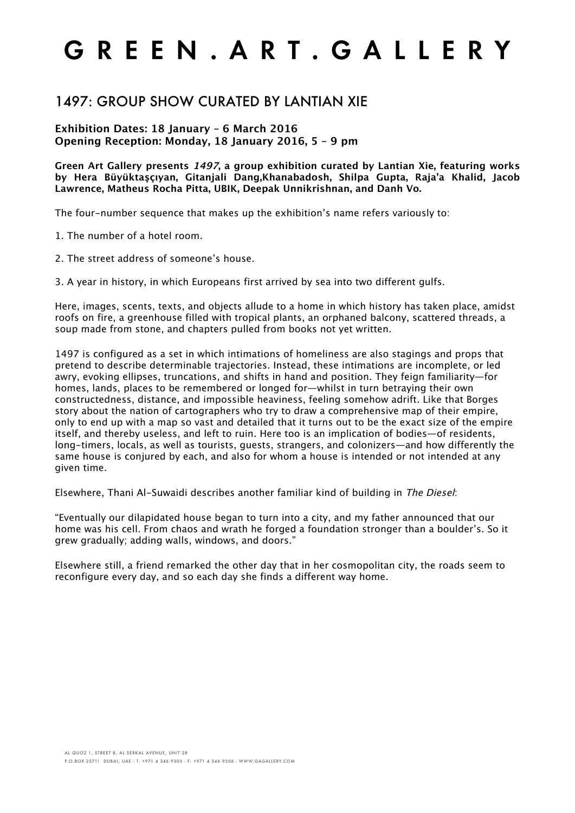## GREEN. ART. GALLERY

#### 1497: GROUP SHOW CURATED BY LANTIAN XIE

#### **Exhibition Dates: 18 January – 6 March 2016 Opening Reception: Monday, 18 January 2016, 5 – 9 pm**

**Green Art Gallery presents 1497, a group exhibition curated by Lantian Xie, featuring works by Hera Büyüktaşçıyan, Gitanjali Dang,Khanabadosh, Shilpa Gupta, Raja'a Khalid, Jacob Lawrence, Matheus Rocha Pitta, UBIK, Deepak Unnikrishnan, and Danh Vo.**

The four-number sequence that makes up the exhibition's name refers variously to:

1. The number of a hotel room.

2. The street address of someone's house.

3. A year in history, in which Europeans first arrived by sea into two different gulfs.

Here, images, scents, texts, and objects allude to a home in which history has taken place, amidst roofs on fire, a greenhouse filled with tropical plants, an orphaned balcony, scattered threads, a soup made from stone, and chapters pulled from books not yet written.

1497 is configured as a set in which intimations of homeliness are also stagings and props that pretend to describe determinable trajectories. Instead, these intimations are incomplete, or led awry, evoking ellipses, truncations, and shifts in hand and position. They feign familiarity—for homes, lands, places to be remembered or longed for—whilst in turn betraying their own constructedness, distance, and impossible heaviness, feeling somehow adrift. Like that Borges story about the nation of cartographers who try to draw a comprehensive map of their empire, only to end up with a map so vast and detailed that it turns out to be the exact size of the empire itself, and thereby useless, and left to ruin. Here too is an implication of bodies—of residents, long-timers, locals, as well as tourists, guests, strangers, and colonizers—and how differently the same house is conjured by each, and also for whom a house is intended or not intended at any given time.

Elsewhere, Thani Al-Suwaidi describes another familiar kind of building in The Diesel:

"Eventually our dilapidated house began to turn into a city, and my father announced that our home was his cell. From chaos and wrath he forged a foundation stronger than a boulder's. So it grew gradually; adding walls, windows, and doors."

Elsewhere still, a friend remarked the other day that in her cosmopolitan city, the roads seem to reconfigure every day, and so each day she finds a different way home.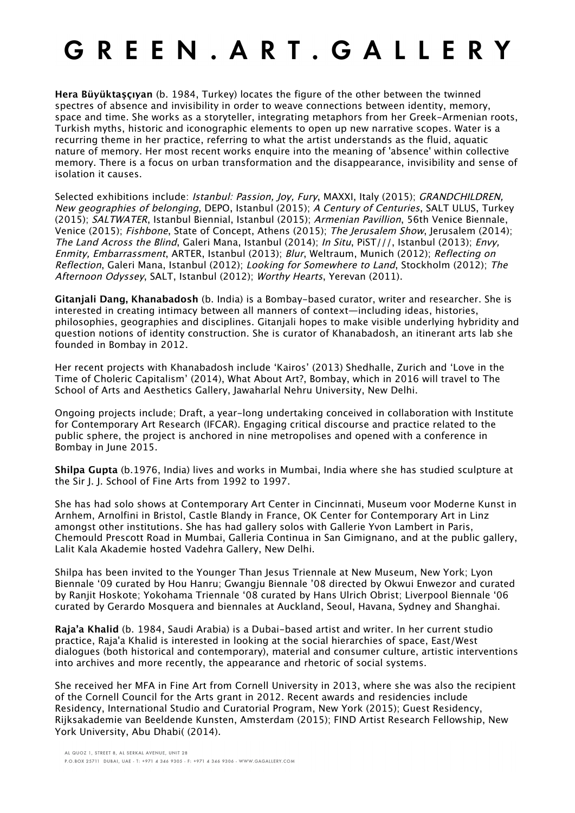# GREEN, ART, GALLERY

**Hera Büyüktaşçıyan** (b. 1984, Turkey) locates the figure of the other between the twinned spectres of absence and invisibility in order to weave connections between identity, memory, space and time. She works as a storyteller, integrating metaphors from her Greek-Armenian roots, Turkish myths, historic and iconographic elements to open up new narrative scopes. Water is a recurring theme in her practice, referring to what the artist understands as the fluid, aquatic nature of memory. Her most recent works enquire into the meaning of 'absence' within collective memory. There is a focus on urban transformation and the disappearance, invisibility and sense of isolation it causes.

Selected exhibitions include: *Istanbul: Passion, Joy, Fury*, MAXXI, Italy (2015); *GRANDCHILDREN*, New geographies of belonging, DEPO, Istanbul (2015); A Century of Centuries, SALT ULUS, Turkey (2015); SALTWATER, Istanbul Biennial, Istanbul (2015); Armenian Pavillion, 56th Venice Biennale, Venice (2015); Fishbone, State of Concept, Athens (2015); The Jerusalem Show, Jerusalem (2014); The Land Across the Blind, Galeri Mana, Istanbul (2014); In Situ, PiST///, Istanbul (2013); Envy, Enmity, Embarrassment, ARTER, Istanbul (2013); Blur, Weltraum, Munich (2012); Reflecting on Reflection, Galeri Mana, Istanbul (2012); Looking for Somewhere to Land, Stockholm (2012); The Afternoon Odyssey, SALT, Istanbul (2012); Worthy Hearts, Yerevan (2011).

**Gitanjali Dang, Khanabadosh** (b. India) is a Bombay-based curator, writer and researcher. She is interested in creating intimacy between all manners of context—including ideas, histories, philosophies, geographies and disciplines. Gitanjali hopes to make visible underlying hybridity and question notions of identity construction. She is curator of Khanabadosh, an itinerant arts lab she founded in Bombay in 2012.

Her recent projects with Khanabadosh include 'Kairos' (2013) Shedhalle, Zurich and 'Love in the Time of Choleric Capitalism' (2014), What About Art?, Bombay, which in 2016 will travel to The School of Arts and Aesthetics Gallery, Jawaharlal Nehru University, New Delhi.

Ongoing projects include; Draft, a year-long undertaking conceived in collaboration with Institute for Contemporary Art Research (IFCAR). Engaging critical discourse and practice related to the public sphere, the project is anchored in nine metropolises and opened with a conference in Bombay in June 2015.

**Shilpa Gupta** (b.1976, India) lives and works in Mumbai, India where she has studied sculpture at the Sir J. J. School of Fine Arts from 1992 to 1997.

She has had solo shows at Contemporary Art Center in Cincinnati, Museum voor Moderne Kunst in Arnhem, Arnolfini in Bristol, Castle Blandy in France, OK Center for Contemporary Art in Linz amongst other institutions. She has had gallery solos with Gallerie Yvon Lambert in Paris, Chemould Prescott Road in Mumbai, Galleria Continua in San Gimignano, and at the public gallery, Lalit Kala Akademie hosted Vadehra Gallery, New Delhi.

Shilpa has been invited to the Younger Than Jesus Triennale at New Museum, New York; Lyon Biennale '09 curated by Hou Hanru; Gwangju Biennale '08 directed by Okwui Enwezor and curated by Ranjit Hoskote; Yokohama Triennale '08 curated by Hans Ulrich Obrist; Liverpool Biennale '06 curated by Gerardo Mosquera and biennales at Auckland, Seoul, Havana, Sydney and Shanghai.

**Raja'a Khalid** (b. 1984, Saudi Arabia) is a Dubai-based artist and writer. In her current studio practice, Raja'a Khalid is interested in looking at the social hierarchies of space, East/West dialogues (both historical and contemporary), material and consumer culture, artistic interventions into archives and more recently, the appearance and rhetoric of social systems.

She received her MFA in Fine Art from Cornell University in 2013, where she was also the recipient of the Cornell Council for the Arts grant in 2012. Recent awards and residencies include Residency, International Studio and Curatorial Program, New York (2015); Guest Residency, Rijksakademie van Beeldende Kunsten, Amsterdam (2015); FIND Artist Research Fellowship, New York University, Abu Dhabi( (2014).

AL QUOZ 1, STREET 8, AL SERKAL AVENUE, UNIT 28

P.O.BOX 25711 DUBAI, UAE - T: +971 4 346 9305 - F: +971 4 346 9306 - WWW.GAGALLERY.COM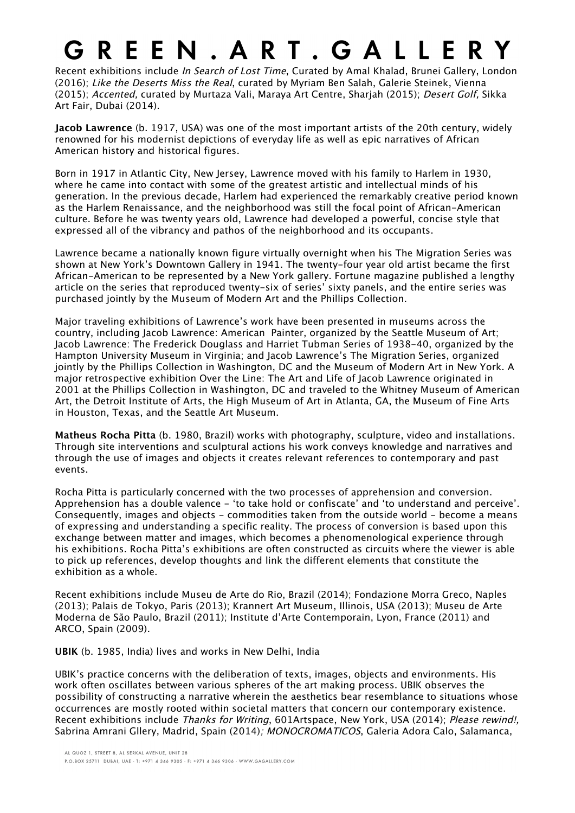### GREEN, ART, GALLERY

Recent exhibitions include In Search of Lost Time, Curated by Amal Khalad, Brunei Gallery, London (2016); Like the Deserts Miss the Real, curated by Myriam Ben Salah, Galerie Steinek, Vienna (2015); Accented, curated by Murtaza Vali, Maraya Art Centre, Sharjah (2015); Desert Golf, Sikka Art Fair, Dubai (2014).

**Jacob Lawrence** (b. 1917, USA) was one of the most important artists of the 20th century, widely renowned for his modernist depictions of everyday life as well as epic narratives of African American history and historical figures.

Born in 1917 in Atlantic City, New Jersey, Lawrence moved with his family to Harlem in 1930, where he came into contact with some of the greatest artistic and intellectual minds of his generation. In the previous decade, Harlem had experienced the remarkably creative period known as the Harlem Renaissance, and the neighborhood was still the focal point of African-American culture. Before he was twenty years old, Lawrence had developed a powerful, concise style that expressed all of the vibrancy and pathos of the neighborhood and its occupants.

Lawrence became a nationally known figure virtually overnight when his The Migration Series was shown at New York's Downtown Gallery in 1941. The twenty-four year old artist became the first African-American to be represented by a New York gallery. Fortune magazine published a lengthy article on the series that reproduced twenty-six of series' sixty panels, and the entire series was purchased jointly by the Museum of Modern Art and the Phillips Collection.

Major traveling exhibitions of Lawrence's work have been presented in museums across the country, including Jacob Lawrence: American Painter, organized by the Seattle Museum of Art; Jacob Lawrence: The Frederick Douglass and Harriet Tubman Series of 1938-40, organized by the Hampton University Museum in Virginia; and Jacob Lawrence's The Migration Series, organized jointly by the Phillips Collection in Washington, DC and the Museum of Modern Art in New York. A major retrospective exhibition Over the Line: The Art and Life of Jacob Lawrence originated in 2001 at the Phillips Collection in Washington, DC and traveled to the Whitney Museum of American Art, the Detroit Institute of Arts, the High Museum of Art in Atlanta, GA, the Museum of Fine Arts in Houston, Texas, and the Seattle Art Museum.

**Matheus Rocha Pitta** (b. 1980, Brazil) works with photography, sculpture, video and installations. Through site interventions and sculptural actions his work conveys knowledge and narratives and through the use of images and objects it creates relevant references to contemporary and past events.

Rocha Pitta is particularly concerned with the two processes of apprehension and conversion. Apprehension has a double valence - 'to take hold or confiscate' and 'to understand and perceive'. Consequently, images and objects - commodities taken from the outside world - become a means of expressing and understanding a specific reality. The process of conversion is based upon this exchange between matter and images, which becomes a phenomenological experience through his exhibitions. Rocha Pitta's exhibitions are often constructed as circuits where the viewer is able to pick up references, develop thoughts and link the different elements that constitute the exhibition as a whole.

Recent exhibitions include Museu de Arte do Rio, Brazil (2014); Fondazione Morra Greco, Naples (2013); Palais de Tokyo, Paris (2013); Krannert Art Museum, Illinois, USA (2013); Museu de Arte Moderna de São Paulo, Brazil (2011); Institute d'Arte Contemporain, Lyon, France (2011) and ARCO, Spain (2009).

**UBIK** (b. 1985, India) lives and works in New Delhi, India

UBIK's practice concerns with the deliberation of texts, images, objects and environments. His work often oscillates between various spheres of the art making process. UBIK observes the possibility of constructing a narrative wherein the aesthetics bear resemblance to situations whose occurrences are mostly rooted within societal matters that concern our contemporary existence. Recent exhibitions include Thanks for Writing, 601Artspace, New York, USA (2014); Please rewind!, Sabrina Amrani Gllery, Madrid, Spain (2014); MONOCROMATICOS, Galeria Adora Calo, Salamanca,

AL QUOZ 1, STREET 8, AL SERKAL AVENUE, UNIT 28

P.O.BOX 25711 DUBAI, UAE - T: +971 4 346 9305 - F: +971 4 346 9306 - WWW.GAGALLERY.COM